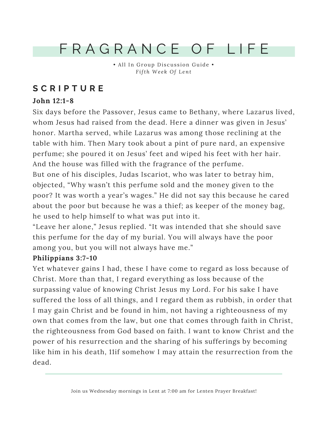# F R A G R A N C E O F L I F E

• All In Group Discussion Guide • *F ifth We e k Of Lent*

# **S C R I P T U R E**

# **John 12:1-8**

Six days before the Passover, Jesus came to Bethany, where Lazarus lived, whom Jesus had raised from the dead. Here a dinner was given in Jesus' honor. Martha served, while Lazarus was among those reclining at the table with him. Then Mary took about a pint of pure nard, an expensive perfume; she poured it on Jesus' feet and wiped his feet with her hair. And the house was filled with the fragrance of the perfume.

But one of his disciples, Judas Iscariot, who was later to betray him, objected, "Why wasn't this perfume sold and the money given to the poor? It was worth a year's wages." He did not say this because he cared about the poor but because he was a thief; as keeper of the money bag, he used to help himself to what was put into it.

"Leave her alone," Jesus replied. "It was intended that she should save this perfume for the day of my burial. You will always have the poor among you, but you will not always have me."

## **Philippians 3:7-10**

Yet whatever gains I had, these I have come to regard as loss because of Christ. More than that, I regard everything as loss because of the surpassing value of knowing Christ Jesus my Lord. For his sake I have suffered the loss of all things, and I regard them as rubbish, in order that I may gain Christ and be found in him, not having a righteousness of my own that comes from the law, but one that comes through faith in Christ, the righteousness from God based on faith. I want to know Christ and the power of his resurrection and the sharing of his sufferings by becoming like him in his death, 11if somehow I may attain the resurrection from the dead.